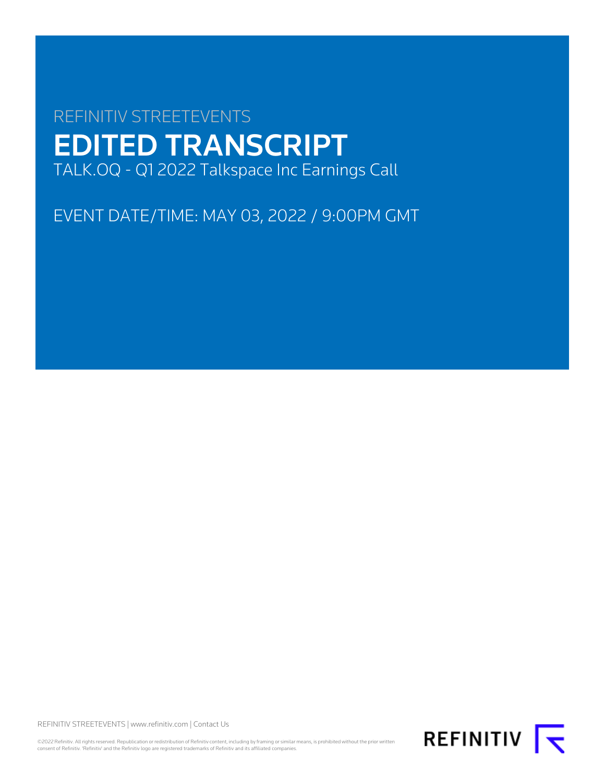# REFINITIV STREETEVENTS EDITED TRANSCRIPT TALK.OQ - Q1 2022 Talkspace Inc Earnings Call

EVENT DATE/TIME: MAY 03, 2022 / 9:00PM GMT

REFINITIV STREETEVENTS | [www.refinitiv.com](https://www.refinitiv.com/) | [Contact Us](https://www.refinitiv.com/en/contact-us)

©2022 Refinitiv. All rights reserved. Republication or redistribution of Refinitiv content, including by framing or similar means, is prohibited without the prior written<br>consent of Refinitiv. 'Refinitiv' and the Refinitiv

REFINITIV **K**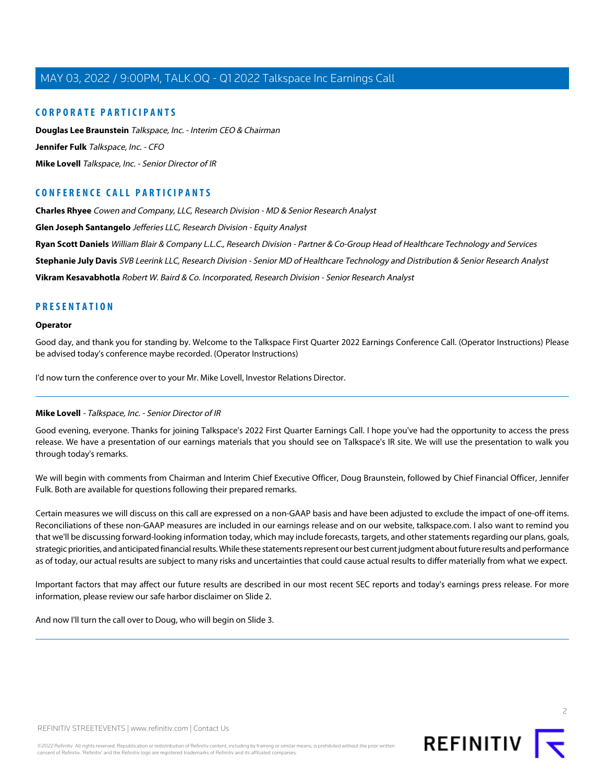### **CORPORATE PARTICIPANTS**

**[Douglas Lee Braunstein](#page-2-0)** Talkspace, Inc. - Interim CEO & Chairman **[Jennifer Fulk](#page-3-0)** Talkspace, Inc. - CFO **[Mike Lovell](#page-1-0)** Talkspace, Inc. - Senior Director of IR

# **CONFERENCE CALL PARTICIPANTS**

**[Charles Rhyee](#page-4-0)** Cowen and Company, LLC, Research Division - MD & Senior Research Analyst

**[Glen Joseph Santangelo](#page-9-0)** Jefferies LLC, Research Division - Equity Analyst

**[Ryan Scott Daniels](#page-7-0)** William Blair & Company L.L.C., Research Division - Partner & Co-Group Head of Healthcare Technology and Services

**[Stephanie July Davis](#page-8-0)** SVB Leerink LLC, Research Division - Senior MD of Healthcare Technology and Distribution & Senior Research Analyst

**[Vikram Kesavabhotla](#page-6-0)** Robert W. Baird & Co. Incorporated, Research Division - Senior Research Analyst

# **PRESENTATION**

### **Operator**

Good day, and thank you for standing by. Welcome to the Talkspace First Quarter 2022 Earnings Conference Call. (Operator Instructions) Please be advised today's conference maybe recorded. (Operator Instructions)

<span id="page-1-0"></span>I'd now turn the conference over to your Mr. Mike Lovell, Investor Relations Director.

### **Mike Lovell** - Talkspace, Inc. - Senior Director of IR

Good evening, everyone. Thanks for joining Talkspace's 2022 First Quarter Earnings Call. I hope you've had the opportunity to access the press release. We have a presentation of our earnings materials that you should see on Talkspace's IR site. We will use the presentation to walk you through today's remarks.

We will begin with comments from Chairman and Interim Chief Executive Officer, Doug Braunstein, followed by Chief Financial Officer, Jennifer Fulk. Both are available for questions following their prepared remarks.

Certain measures we will discuss on this call are expressed on a non-GAAP basis and have been adjusted to exclude the impact of one-off items. Reconciliations of these non-GAAP measures are included in our earnings release and on our website, talkspace.com. I also want to remind you that we'll be discussing forward-looking information today, which may include forecasts, targets, and other statements regarding our plans, goals, strategic priorities, and anticipated financial results. While these statements represent our best current judgment about future results and performance as of today, our actual results are subject to many risks and uncertainties that could cause actual results to differ materially from what we expect.

Important factors that may affect our future results are described in our most recent SEC reports and today's earnings press release. For more information, please review our safe harbor disclaimer on Slide 2.

And now I'll turn the call over to Doug, who will begin on Slide 3.

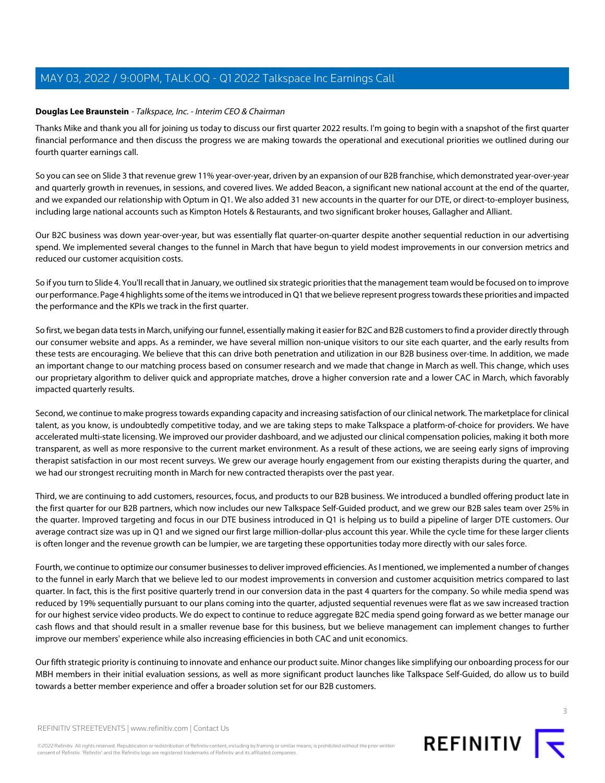### <span id="page-2-0"></span>**Douglas Lee Braunstein** - Talkspace, Inc. - Interim CEO & Chairman

Thanks Mike and thank you all for joining us today to discuss our first quarter 2022 results. I'm going to begin with a snapshot of the first quarter financial performance and then discuss the progress we are making towards the operational and executional priorities we outlined during our fourth quarter earnings call.

So you can see on Slide 3 that revenue grew 11% year-over-year, driven by an expansion of our B2B franchise, which demonstrated year-over-year and quarterly growth in revenues, in sessions, and covered lives. We added Beacon, a significant new national account at the end of the quarter, and we expanded our relationship with Optum in Q1. We also added 31 new accounts in the quarter for our DTE, or direct-to-employer business, including large national accounts such as Kimpton Hotels & Restaurants, and two significant broker houses, Gallagher and Alliant.

Our B2C business was down year-over-year, but was essentially flat quarter-on-quarter despite another sequential reduction in our advertising spend. We implemented several changes to the funnel in March that have begun to yield modest improvements in our conversion metrics and reduced our customer acquisition costs.

So if you turn to Slide 4. You'll recall that in January, we outlined six strategic priorities that the management team would be focused on to improve our performance. Page 4 highlights some of the items we introduced in Q1 that we believe represent progress towards these priorities and impacted the performance and the KPIs we track in the first quarter.

So first, we began data tests in March, unifying our funnel, essentially making it easier for B2C and B2B customers to find a provider directly through our consumer website and apps. As a reminder, we have several million non-unique visitors to our site each quarter, and the early results from these tests are encouraging. We believe that this can drive both penetration and utilization in our B2B business over-time. In addition, we made an important change to our matching process based on consumer research and we made that change in March as well. This change, which uses our proprietary algorithm to deliver quick and appropriate matches, drove a higher conversion rate and a lower CAC in March, which favorably impacted quarterly results.

Second, we continue to make progress towards expanding capacity and increasing satisfaction of our clinical network. The marketplace for clinical talent, as you know, is undoubtedly competitive today, and we are taking steps to make Talkspace a platform-of-choice for providers. We have accelerated multi-state licensing. We improved our provider dashboard, and we adjusted our clinical compensation policies, making it both more transparent, as well as more responsive to the current market environment. As a result of these actions, we are seeing early signs of improving therapist satisfaction in our most recent surveys. We grew our average hourly engagement from our existing therapists during the quarter, and we had our strongest recruiting month in March for new contracted therapists over the past year.

Third, we are continuing to add customers, resources, focus, and products to our B2B business. We introduced a bundled offering product late in the first quarter for our B2B partners, which now includes our new Talkspace Self-Guided product, and we grew our B2B sales team over 25% in the quarter. Improved targeting and focus in our DTE business introduced in Q1 is helping us to build a pipeline of larger DTE customers. Our average contract size was up in Q1 and we signed our first large million-dollar-plus account this year. While the cycle time for these larger clients is often longer and the revenue growth can be lumpier, we are targeting these opportunities today more directly with our sales force.

Fourth, we continue to optimize our consumer businesses to deliver improved efficiencies. As I mentioned, we implemented a number of changes to the funnel in early March that we believe led to our modest improvements in conversion and customer acquisition metrics compared to last quarter. In fact, this is the first positive quarterly trend in our conversion data in the past 4 quarters for the company. So while media spend was reduced by 19% sequentially pursuant to our plans coming into the quarter, adjusted sequential revenues were flat as we saw increased traction for our highest service video products. We do expect to continue to reduce aggregate B2C media spend going forward as we better manage our cash flows and that should result in a smaller revenue base for this business, but we believe management can implement changes to further improve our members' experience while also increasing efficiencies in both CAC and unit economics.

Our fifth strategic priority is continuing to innovate and enhance our product suite. Minor changes like simplifying our onboarding process for our MBH members in their initial evaluation sessions, as well as more significant product launches like Talkspace Self-Guided, do allow us to build towards a better member experience and offer a broader solution set for our B2B customers.



©2022 Refinitiv. All rights reserved. Republication or redistribution of Refinitiv content, including by framing or similar means, is prohibited without the prior written consent of Refinitiv. 'Refinitiv' and the Refinitiv logo are registered trademarks of Refinitiv and its affiliated companies.

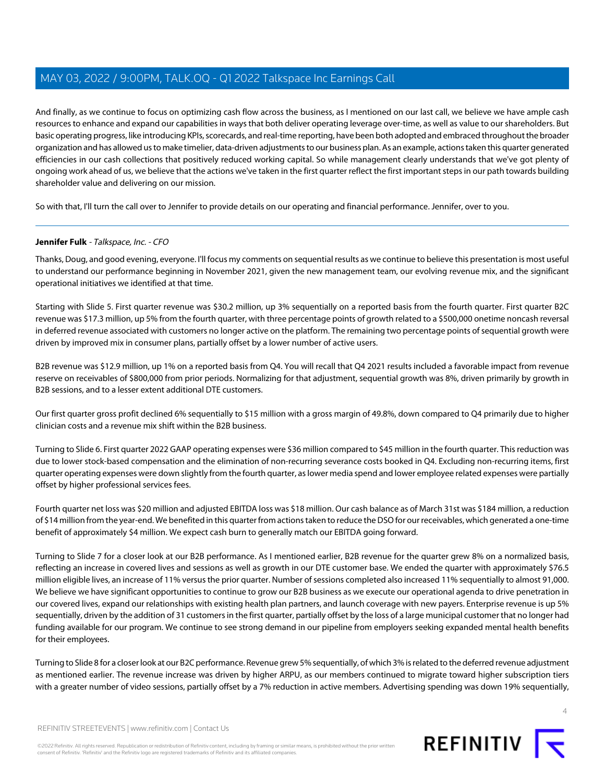And finally, as we continue to focus on optimizing cash flow across the business, as I mentioned on our last call, we believe we have ample cash resources to enhance and expand our capabilities in ways that both deliver operating leverage over-time, as well as value to our shareholders. But basic operating progress, like introducing KPIs, scorecards, and real-time reporting, have been both adopted and embraced throughout the broader organization and has allowed us to make timelier, data-driven adjustments to our business plan. As an example, actions taken this quarter generated efficiencies in our cash collections that positively reduced working capital. So while management clearly understands that we've got plenty of ongoing work ahead of us, we believe that the actions we've taken in the first quarter reflect the first important steps in our path towards building shareholder value and delivering on our mission.

<span id="page-3-0"></span>So with that, I'll turn the call over to Jennifer to provide details on our operating and financial performance. Jennifer, over to you.

### **Jennifer Fulk** - Talkspace, Inc. - CFO

Thanks, Doug, and good evening, everyone. I'll focus my comments on sequential results as we continue to believe this presentation is most useful to understand our performance beginning in November 2021, given the new management team, our evolving revenue mix, and the significant operational initiatives we identified at that time.

Starting with Slide 5. First quarter revenue was \$30.2 million, up 3% sequentially on a reported basis from the fourth quarter. First quarter B2C revenue was \$17.3 million, up 5% from the fourth quarter, with three percentage points of growth related to a \$500,000 onetime noncash reversal in deferred revenue associated with customers no longer active on the platform. The remaining two percentage points of sequential growth were driven by improved mix in consumer plans, partially offset by a lower number of active users.

B2B revenue was \$12.9 million, up 1% on a reported basis from Q4. You will recall that Q4 2021 results included a favorable impact from revenue reserve on receivables of \$800,000 from prior periods. Normalizing for that adjustment, sequential growth was 8%, driven primarily by growth in B2B sessions, and to a lesser extent additional DTE customers.

Our first quarter gross profit declined 6% sequentially to \$15 million with a gross margin of 49.8%, down compared to Q4 primarily due to higher clinician costs and a revenue mix shift within the B2B business.

Turning to Slide 6. First quarter 2022 GAAP operating expenses were \$36 million compared to \$45 million in the fourth quarter. This reduction was due to lower stock-based compensation and the elimination of non-recurring severance costs booked in Q4. Excluding non-recurring items, first quarter operating expenses were down slightly from the fourth quarter, as lower media spend and lower employee related expenses were partially offset by higher professional services fees.

Fourth quarter net loss was \$20 million and adjusted EBITDA loss was \$18 million. Our cash balance as of March 31st was \$184 million, a reduction of \$14 million from the year-end. We benefited in this quarter from actions taken to reduce the DSO for our receivables, which generated a one-time benefit of approximately \$4 million. We expect cash burn to generally match our EBITDA going forward.

Turning to Slide 7 for a closer look at our B2B performance. As I mentioned earlier, B2B revenue for the quarter grew 8% on a normalized basis, reflecting an increase in covered lives and sessions as well as growth in our DTE customer base. We ended the quarter with approximately \$76.5 million eligible lives, an increase of 11% versus the prior quarter. Number of sessions completed also increased 11% sequentially to almost 91,000. We believe we have significant opportunities to continue to grow our B2B business as we execute our operational agenda to drive penetration in our covered lives, expand our relationships with existing health plan partners, and launch coverage with new payers. Enterprise revenue is up 5% sequentially, driven by the addition of 31 customers in the first quarter, partially offset by the loss of a large municipal customer that no longer had funding available for our program. We continue to see strong demand in our pipeline from employers seeking expanded mental health benefits for their employees.

Turning to Slide 8 for a closer look at our B2C performance. Revenue grew 5% sequentially, of which 3% is related to the deferred revenue adjustment as mentioned earlier. The revenue increase was driven by higher ARPU, as our members continued to migrate toward higher subscription tiers with a greater number of video sessions, partially offset by a 7% reduction in active members. Advertising spending was down 19% sequentially,

REFINITIV STREETEVENTS | [www.refinitiv.com](https://www.refinitiv.com/) | [Contact Us](https://www.refinitiv.com/en/contact-us)

©2022 Refinitiv. All rights reserved. Republication or redistribution of Refinitiv content, including by framing or similar means, is prohibited without the prior written consent of Refinitiv. 'Refinitiv' and the Refinitiv logo are registered trademarks of Refinitiv and its affiliated companies.



 $\Delta$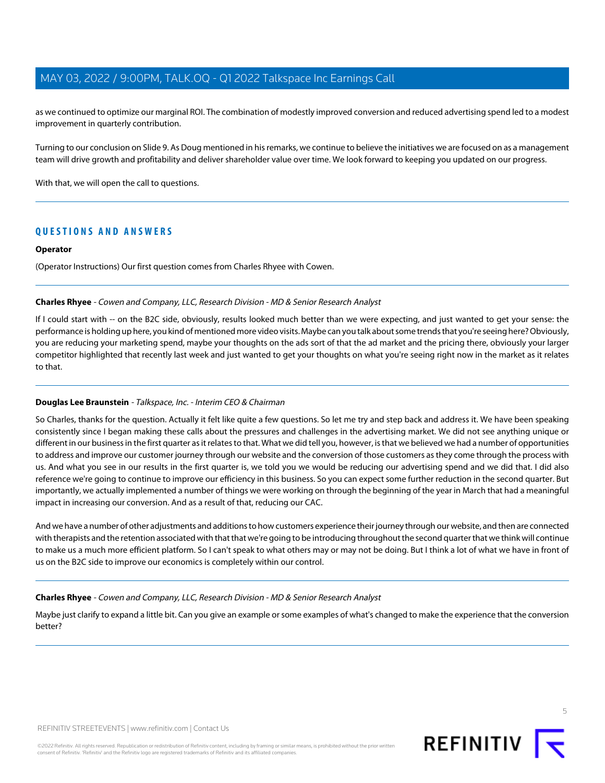as we continued to optimize our marginal ROI. The combination of modestly improved conversion and reduced advertising spend led to a modest improvement in quarterly contribution.

Turning to our conclusion on Slide 9. As Doug mentioned in his remarks, we continue to believe the initiatives we are focused on as a management team will drive growth and profitability and deliver shareholder value over time. We look forward to keeping you updated on our progress.

With that, we will open the call to questions.

## **QUESTIONS AND ANSWERS**

### **Operator**

<span id="page-4-0"></span>(Operator Instructions) Our first question comes from Charles Rhyee with Cowen.

### **Charles Rhyee** - Cowen and Company, LLC, Research Division - MD & Senior Research Analyst

If I could start with -- on the B2C side, obviously, results looked much better than we were expecting, and just wanted to get your sense: the performance is holding up here, you kind of mentioned more video visits. Maybe can you talk about some trends that you're seeing here? Obviously, you are reducing your marketing spend, maybe your thoughts on the ads sort of that the ad market and the pricing there, obviously your larger competitor highlighted that recently last week and just wanted to get your thoughts on what you're seeing right now in the market as it relates to that.

### **Douglas Lee Braunstein** - Talkspace, Inc. - Interim CEO & Chairman

So Charles, thanks for the question. Actually it felt like quite a few questions. So let me try and step back and address it. We have been speaking consistently since I began making these calls about the pressures and challenges in the advertising market. We did not see anything unique or different in our business in the first quarter as it relates to that. What we did tell you, however, is that we believed we had a number of opportunities to address and improve our customer journey through our website and the conversion of those customers as they come through the process with us. And what you see in our results in the first quarter is, we told you we would be reducing our advertising spend and we did that. I did also reference we're going to continue to improve our efficiency in this business. So you can expect some further reduction in the second quarter. But importantly, we actually implemented a number of things we were working on through the beginning of the year in March that had a meaningful impact in increasing our conversion. And as a result of that, reducing our CAC.

And we have a number of other adjustments and additions to how customers experience their journey through our website, and then are connected with therapists and the retention associated with that that we're going to be introducing throughout the second quarter that we think will continue to make us a much more efficient platform. So I can't speak to what others may or may not be doing. But I think a lot of what we have in front of us on the B2C side to improve our economics is completely within our control.

### **Charles Rhyee** - Cowen and Company, LLC, Research Division - MD & Senior Research Analyst

Maybe just clarify to expand a little bit. Can you give an example or some examples of what's changed to make the experience that the conversion better?

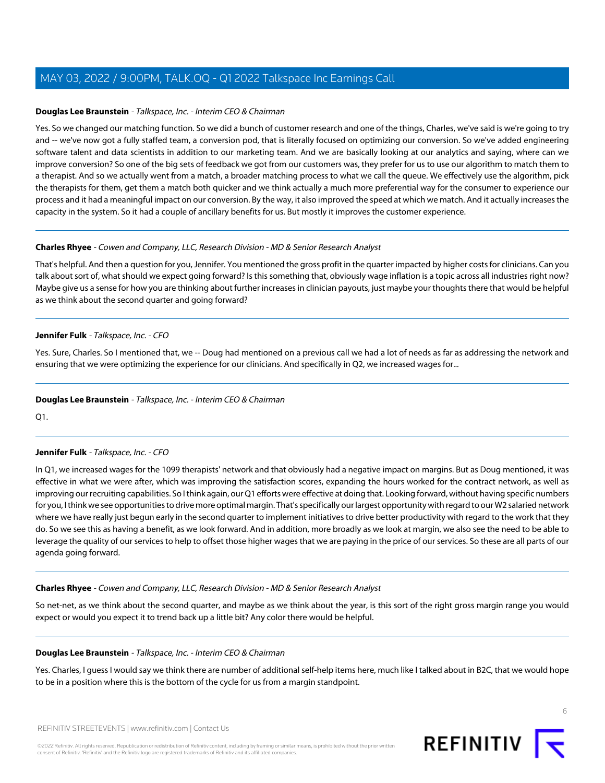### **Douglas Lee Braunstein** - Talkspace, Inc. - Interim CEO & Chairman

Yes. So we changed our matching function. So we did a bunch of customer research and one of the things, Charles, we've said is we're going to try and -- we've now got a fully staffed team, a conversion pod, that is literally focused on optimizing our conversion. So we've added engineering software talent and data scientists in addition to our marketing team. And we are basically looking at our analytics and saying, where can we improve conversion? So one of the big sets of feedback we got from our customers was, they prefer for us to use our algorithm to match them to a therapist. And so we actually went from a match, a broader matching process to what we call the queue. We effectively use the algorithm, pick the therapists for them, get them a match both quicker and we think actually a much more preferential way for the consumer to experience our process and it had a meaningful impact on our conversion. By the way, it also improved the speed at which we match. And it actually increases the capacity in the system. So it had a couple of ancillary benefits for us. But mostly it improves the customer experience.

### **Charles Rhyee** - Cowen and Company, LLC, Research Division - MD & Senior Research Analyst

That's helpful. And then a question for you, Jennifer. You mentioned the gross profit in the quarter impacted by higher costs for clinicians. Can you talk about sort of, what should we expect going forward? Is this something that, obviously wage inflation is a topic across all industries right now? Maybe give us a sense for how you are thinking about further increases in clinician payouts, just maybe your thoughts there that would be helpful as we think about the second quarter and going forward?

### **Jennifer Fulk** - Talkspace, Inc. - CFO

Yes. Sure, Charles. So I mentioned that, we -- Doug had mentioned on a previous call we had a lot of needs as far as addressing the network and ensuring that we were optimizing the experience for our clinicians. And specifically in Q2, we increased wages for...

### **Douglas Lee Braunstein** - Talkspace, Inc. - Interim CEO & Chairman

Q1.

### **Jennifer Fulk** - Talkspace, Inc. - CFO

In Q1, we increased wages for the 1099 therapists' network and that obviously had a negative impact on margins. But as Doug mentioned, it was effective in what we were after, which was improving the satisfaction scores, expanding the hours worked for the contract network, as well as improving our recruiting capabilities. So I think again, our Q1 efforts were effective at doing that. Looking forward, without having specific numbers for you, I think we see opportunities to drive more optimal margin. That's specifically our largest opportunity with regard to our W2 salaried network where we have really just begun early in the second quarter to implement initiatives to drive better productivity with regard to the work that they do. So we see this as having a benefit, as we look forward. And in addition, more broadly as we look at margin, we also see the need to be able to leverage the quality of our services to help to offset those higher wages that we are paying in the price of our services. So these are all parts of our agenda going forward.

### **Charles Rhyee** - Cowen and Company, LLC, Research Division - MD & Senior Research Analyst

So net-net, as we think about the second quarter, and maybe as we think about the year, is this sort of the right gross margin range you would expect or would you expect it to trend back up a little bit? Any color there would be helpful.

### **Douglas Lee Braunstein** - Talkspace, Inc. - Interim CEO & Chairman

Yes. Charles, I guess I would say we think there are number of additional self-help items here, much like I talked about in B2C, that we would hope to be in a position where this is the bottom of the cycle for us from a margin standpoint.

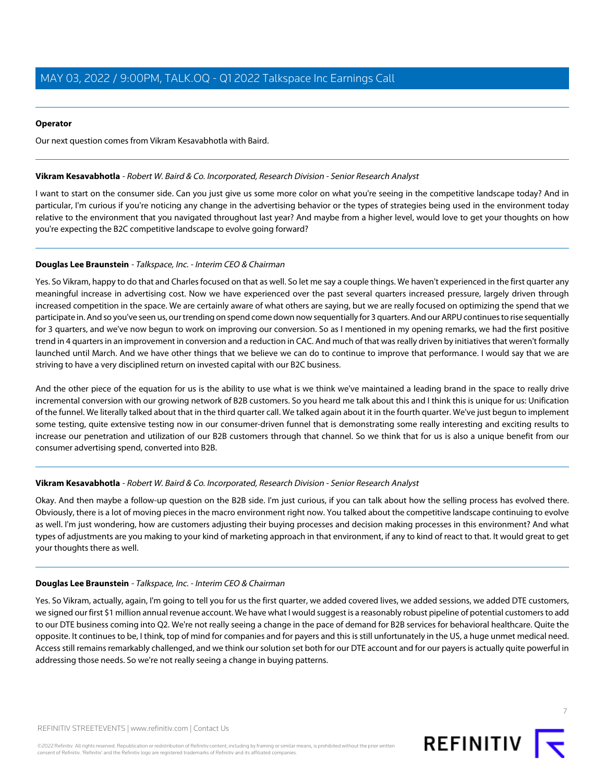### **Operator**

<span id="page-6-0"></span>Our next question comes from Vikram Kesavabhotla with Baird.

### **Vikram Kesavabhotla** - Robert W. Baird & Co. Incorporated, Research Division - Senior Research Analyst

I want to start on the consumer side. Can you just give us some more color on what you're seeing in the competitive landscape today? And in particular, I'm curious if you're noticing any change in the advertising behavior or the types of strategies being used in the environment today relative to the environment that you navigated throughout last year? And maybe from a higher level, would love to get your thoughts on how you're expecting the B2C competitive landscape to evolve going forward?

### **Douglas Lee Braunstein** - Talkspace, Inc. - Interim CEO & Chairman

Yes. So Vikram, happy to do that and Charles focused on that as well. So let me say a couple things. We haven't experienced in the first quarter any meaningful increase in advertising cost. Now we have experienced over the past several quarters increased pressure, largely driven through increased competition in the space. We are certainly aware of what others are saying, but we are really focused on optimizing the spend that we participate in. And so you've seen us, our trending on spend come down now sequentially for 3 quarters. And our ARPU continues to rise sequentially for 3 quarters, and we've now begun to work on improving our conversion. So as I mentioned in my opening remarks, we had the first positive trend in 4 quarters in an improvement in conversion and a reduction in CAC. And much of that was really driven by initiatives that weren't formally launched until March. And we have other things that we believe we can do to continue to improve that performance. I would say that we are striving to have a very disciplined return on invested capital with our B2C business.

And the other piece of the equation for us is the ability to use what is we think we've maintained a leading brand in the space to really drive incremental conversion with our growing network of B2B customers. So you heard me talk about this and I think this is unique for us: Unification of the funnel. We literally talked about that in the third quarter call. We talked again about it in the fourth quarter. We've just begun to implement some testing, quite extensive testing now in our consumer-driven funnel that is demonstrating some really interesting and exciting results to increase our penetration and utilization of our B2B customers through that channel. So we think that for us is also a unique benefit from our consumer advertising spend, converted into B2B.

### **Vikram Kesavabhotla** - Robert W. Baird & Co. Incorporated, Research Division - Senior Research Analyst

Okay. And then maybe a follow-up question on the B2B side. I'm just curious, if you can talk about how the selling process has evolved there. Obviously, there is a lot of moving pieces in the macro environment right now. You talked about the competitive landscape continuing to evolve as well. I'm just wondering, how are customers adjusting their buying processes and decision making processes in this environment? And what types of adjustments are you making to your kind of marketing approach in that environment, if any to kind of react to that. It would great to get your thoughts there as well.

### **Douglas Lee Braunstein** - Talkspace, Inc. - Interim CEO & Chairman

Yes. So Vikram, actually, again, I'm going to tell you for us the first quarter, we added covered lives, we added sessions, we added DTE customers, we signed our first \$1 million annual revenue account. We have what I would suggest is a reasonably robust pipeline of potential customers to add to our DTE business coming into Q2. We're not really seeing a change in the pace of demand for B2B services for behavioral healthcare. Quite the opposite. It continues to be, I think, top of mind for companies and for payers and this is still unfortunately in the US, a huge unmet medical need. Access still remains remarkably challenged, and we think our solution set both for our DTE account and for our payers is actually quite powerful in addressing those needs. So we're not really seeing a change in buying patterns.

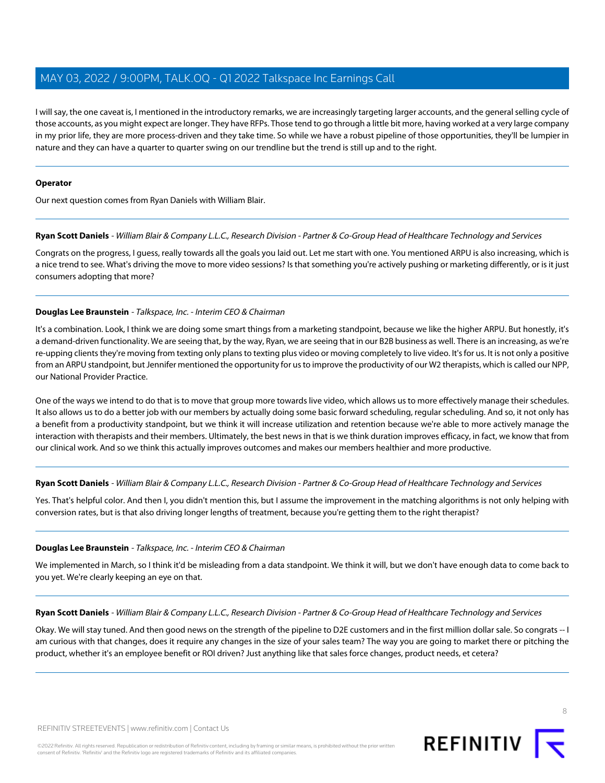I will say, the one caveat is, I mentioned in the introductory remarks, we are increasingly targeting larger accounts, and the general selling cycle of those accounts, as you might expect are longer. They have RFPs. Those tend to go through a little bit more, having worked at a very large company in my prior life, they are more process-driven and they take time. So while we have a robust pipeline of those opportunities, they'll be lumpier in nature and they can have a quarter to quarter swing on our trendline but the trend is still up and to the right.

### **Operator**

<span id="page-7-0"></span>Our next question comes from Ryan Daniels with William Blair.

### **Ryan Scott Daniels** - William Blair & Company L.L.C., Research Division - Partner & Co-Group Head of Healthcare Technology and Services

Congrats on the progress, I guess, really towards all the goals you laid out. Let me start with one. You mentioned ARPU is also increasing, which is a nice trend to see. What's driving the move to more video sessions? Is that something you're actively pushing or marketing differently, or is it just consumers adopting that more?

### **Douglas Lee Braunstein** - Talkspace, Inc. - Interim CEO & Chairman

It's a combination. Look, I think we are doing some smart things from a marketing standpoint, because we like the higher ARPU. But honestly, it's a demand-driven functionality. We are seeing that, by the way, Ryan, we are seeing that in our B2B business as well. There is an increasing, as we're re-upping clients they're moving from texting only plans to texting plus video or moving completely to live video. It's for us. It is not only a positive from an ARPU standpoint, but Jennifer mentioned the opportunity for us to improve the productivity of our W2 therapists, which is called our NPP, our National Provider Practice.

One of the ways we intend to do that is to move that group more towards live video, which allows us to more effectively manage their schedules. It also allows us to do a better job with our members by actually doing some basic forward scheduling, regular scheduling. And so, it not only has a benefit from a productivity standpoint, but we think it will increase utilization and retention because we're able to more actively manage the interaction with therapists and their members. Ultimately, the best news in that is we think duration improves efficacy, in fact, we know that from our clinical work. And so we think this actually improves outcomes and makes our members healthier and more productive.

### **Ryan Scott Daniels** - William Blair & Company L.L.C., Research Division - Partner & Co-Group Head of Healthcare Technology and Services

Yes. That's helpful color. And then I, you didn't mention this, but I assume the improvement in the matching algorithms is not only helping with conversion rates, but is that also driving longer lengths of treatment, because you're getting them to the right therapist?

### **Douglas Lee Braunstein** - Talkspace, Inc. - Interim CEO & Chairman

We implemented in March, so I think it'd be misleading from a data standpoint. We think it will, but we don't have enough data to come back to you yet. We're clearly keeping an eye on that.

**Ryan Scott Daniels** - William Blair & Company L.L.C., Research Division - Partner & Co-Group Head of Healthcare Technology and Services

Okay. We will stay tuned. And then good news on the strength of the pipeline to D2E customers and in the first million dollar sale. So congrats -- I am curious with that changes, does it require any changes in the size of your sales team? The way you are going to market there or pitching the product, whether it's an employee benefit or ROI driven? Just anything like that sales force changes, product needs, et cetera?

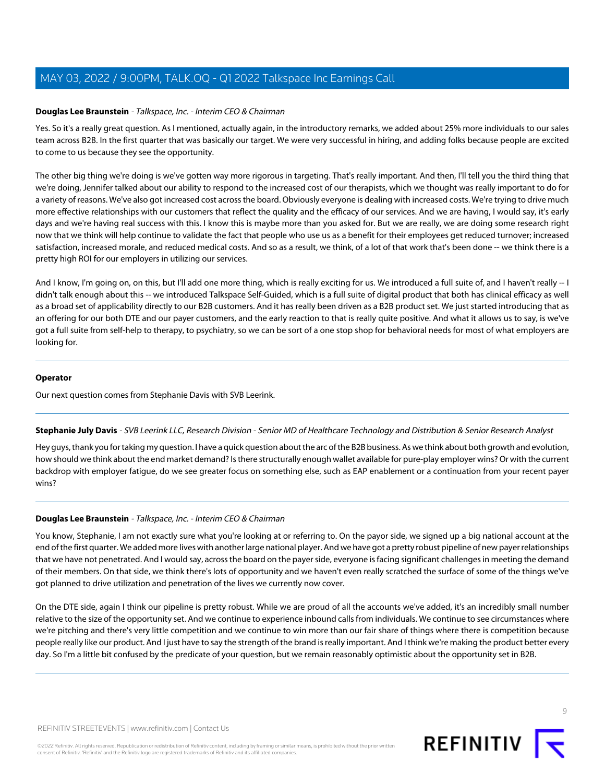### **Douglas Lee Braunstein** - Talkspace, Inc. - Interim CEO & Chairman

Yes. So it's a really great question. As I mentioned, actually again, in the introductory remarks, we added about 25% more individuals to our sales team across B2B. In the first quarter that was basically our target. We were very successful in hiring, and adding folks because people are excited to come to us because they see the opportunity.

The other big thing we're doing is we've gotten way more rigorous in targeting. That's really important. And then, I'll tell you the third thing that we're doing, Jennifer talked about our ability to respond to the increased cost of our therapists, which we thought was really important to do for a variety of reasons. We've also got increased cost across the board. Obviously everyone is dealing with increased costs. We're trying to drive much more effective relationships with our customers that reflect the quality and the efficacy of our services. And we are having, I would say, it's early days and we're having real success with this. I know this is maybe more than you asked for. But we are really, we are doing some research right now that we think will help continue to validate the fact that people who use us as a benefit for their employees get reduced turnover; increased satisfaction, increased morale, and reduced medical costs. And so as a result, we think, of a lot of that work that's been done -- we think there is a pretty high ROI for our employers in utilizing our services.

And I know, I'm going on, on this, but I'll add one more thing, which is really exciting for us. We introduced a full suite of, and I haven't really -- I didn't talk enough about this -- we introduced Talkspace Self-Guided, which is a full suite of digital product that both has clinical efficacy as well as a broad set of applicability directly to our B2B customers. And it has really been driven as a B2B product set. We just started introducing that as an offering for our both DTE and our payer customers, and the early reaction to that is really quite positive. And what it allows us to say, is we've got a full suite from self-help to therapy, to psychiatry, so we can be sort of a one stop shop for behavioral needs for most of what employers are looking for.

### **Operator**

<span id="page-8-0"></span>Our next question comes from Stephanie Davis with SVB Leerink.

### **Stephanie July Davis** - SVB Leerink LLC, Research Division - Senior MD of Healthcare Technology and Distribution & Senior Research Analyst

Hey guys, thank you for taking my question. I have a quick question about the arc of the B2B business. As we think about both growth and evolution, how should we think about the end market demand? Is there structurally enough wallet available for pure-play employer wins? Or with the current backdrop with employer fatigue, do we see greater focus on something else, such as EAP enablement or a continuation from your recent payer wins?

### **Douglas Lee Braunstein** - Talkspace, Inc. - Interim CEO & Chairman

You know, Stephanie, I am not exactly sure what you're looking at or referring to. On the payor side, we signed up a big national account at the end of the first quarter. We added more lives with another large national player. And we have got a pretty robust pipeline of new payer relationships that we have not penetrated. And I would say, across the board on the payer side, everyone is facing significant challenges in meeting the demand of their members. On that side, we think there's lots of opportunity and we haven't even really scratched the surface of some of the things we've got planned to drive utilization and penetration of the lives we currently now cover.

On the DTE side, again I think our pipeline is pretty robust. While we are proud of all the accounts we've added, it's an incredibly small number relative to the size of the opportunity set. And we continue to experience inbound calls from individuals. We continue to see circumstances where we're pitching and there's very little competition and we continue to win more than our fair share of things where there is competition because people really like our product. And I just have to say the strength of the brand is really important. And I think we're making the product better every day. So I'm a little bit confused by the predicate of your question, but we remain reasonably optimistic about the opportunity set in B2B.

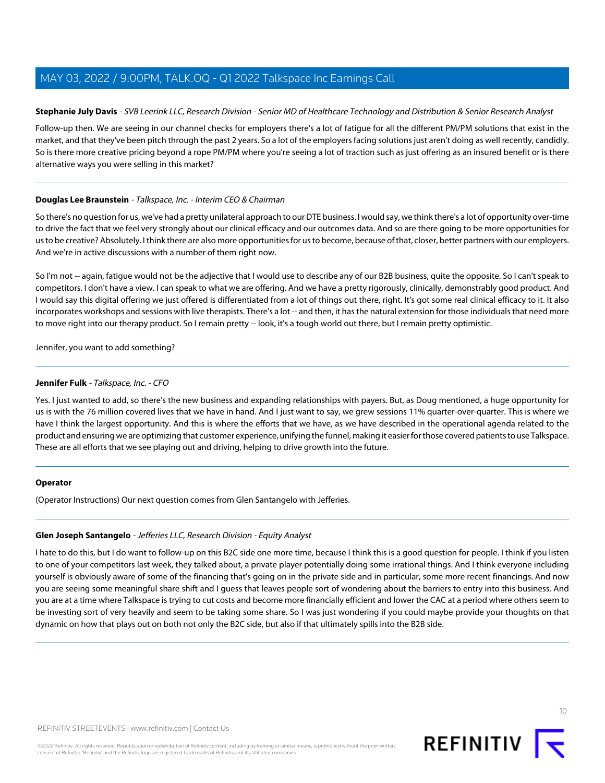### **Stephanie July Davis** - SVB Leerink LLC, Research Division - Senior MD of Healthcare Technology and Distribution & Senior Research Analyst

Follow-up then. We are seeing in our channel checks for employers there's a lot of fatigue for all the different PM/PM solutions that exist in the market, and that they've been pitch through the past 2 years. So a lot of the employers facing solutions just aren't doing as well recently, candidly. So is there more creative pricing beyond a rope PM/PM where you're seeing a lot of traction such as just offering as an insured benefit or is there alternative ways you were selling in this market?

### **Douglas Lee Braunstein** - Talkspace, Inc. - Interim CEO & Chairman

So there's no question for us, we've had a pretty unilateral approach to our DTE business. I would say, we think there's a lot of opportunity over-time to drive the fact that we feel very strongly about our clinical efficacy and our outcomes data. And so are there going to be more opportunities for us to be creative? Absolutely. I think there are also more opportunities for us to become, because of that, closer, better partners with our employers. And we're in active discussions with a number of them right now.

So I'm not -- again, fatigue would not be the adjective that I would use to describe any of our B2B business, quite the opposite. So I can't speak to competitors. I don't have a view. I can speak to what we are offering. And we have a pretty rigorously, clinically, demonstrably good product. And I would say this digital offering we just offered is differentiated from a lot of things out there, right. It's got some real clinical efficacy to it. It also incorporates workshops and sessions with live therapists. There's a lot -- and then, it has the natural extension for those individuals that need more to move right into our therapy product. So I remain pretty -- look, it's a tough world out there, but I remain pretty optimistic.

Jennifer, you want to add something?

### **Jennifer Fulk** - Talkspace, Inc. - CFO

Yes. I just wanted to add, so there's the new business and expanding relationships with payers. But, as Doug mentioned, a huge opportunity for us is with the 76 million covered lives that we have in hand. And I just want to say, we grew sessions 11% quarter-over-quarter. This is where we have I think the largest opportunity. And this is where the efforts that we have, as we have described in the operational agenda related to the product and ensuring we are optimizing that customer experience, unifying the funnel, making it easier for those covered patients to use Talkspace. These are all efforts that we see playing out and driving, helping to drive growth into the future.

### <span id="page-9-0"></span>**Operator**

(Operator Instructions) Our next question comes from Glen Santangelo with Jefferies.

### **Glen Joseph Santangelo** - Jefferies LLC, Research Division - Equity Analyst

I hate to do this, but I do want to follow-up on this B2C side one more time, because I think this is a good question for people. I think if you listen to one of your competitors last week, they talked about, a private player potentially doing some irrational things. And I think everyone including yourself is obviously aware of some of the financing that's going on in the private side and in particular, some more recent financings. And now you are seeing some meaningful share shift and I guess that leaves people sort of wondering about the barriers to entry into this business. And you are at a time where Talkspace is trying to cut costs and become more financially efficient and lower the CAC at a period where others seem to be investing sort of very heavily and seem to be taking some share. So I was just wondering if you could maybe provide your thoughts on that dynamic on how that plays out on both not only the B2C side, but also if that ultimately spills into the B2B side.

 $1<sup>0</sup>$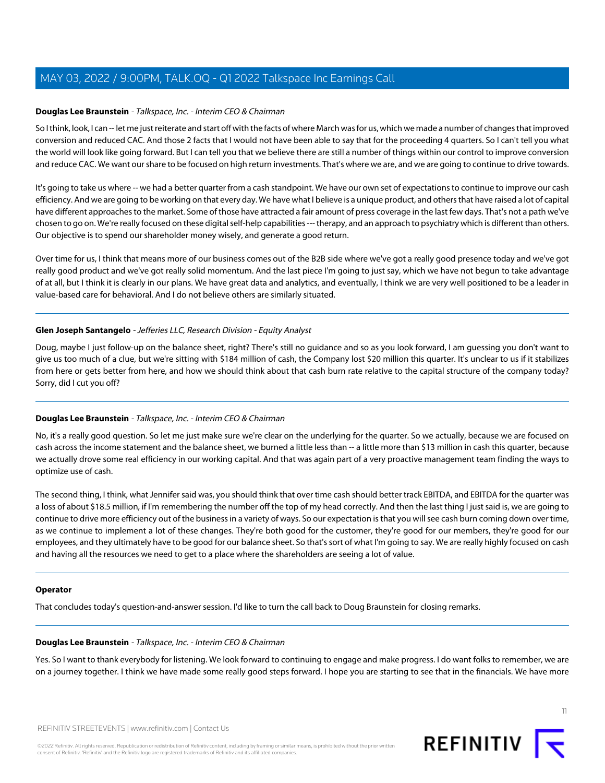### **Douglas Lee Braunstein** - Talkspace, Inc. - Interim CEO & Chairman

So I think, look, I can -- let me just reiterate and start off with the facts of where March was for us, which we made a number of changes that improved conversion and reduced CAC. And those 2 facts that I would not have been able to say that for the proceeding 4 quarters. So I can't tell you what the world will look like going forward. But I can tell you that we believe there are still a number of things within our control to improve conversion and reduce CAC. We want our share to be focused on high return investments. That's where we are, and we are going to continue to drive towards.

It's going to take us where -- we had a better quarter from a cash standpoint. We have our own set of expectations to continue to improve our cash efficiency. And we are going to be working on that every day. We have what I believe is a unique product, and others that have raised a lot of capital have different approaches to the market. Some of those have attracted a fair amount of press coverage in the last few days. That's not a path we've chosen to go on. We're really focused on these digital self-help capabilities --- therapy, and an approach to psychiatry which is different than others. Our objective is to spend our shareholder money wisely, and generate a good return.

Over time for us, I think that means more of our business comes out of the B2B side where we've got a really good presence today and we've got really good product and we've got really solid momentum. And the last piece I'm going to just say, which we have not begun to take advantage of at all, but I think it is clearly in our plans. We have great data and analytics, and eventually, I think we are very well positioned to be a leader in value-based care for behavioral. And I do not believe others are similarly situated.

### **Glen Joseph Santangelo** - Jefferies LLC, Research Division - Equity Analyst

Doug, maybe I just follow-up on the balance sheet, right? There's still no guidance and so as you look forward, I am guessing you don't want to give us too much of a clue, but we're sitting with \$184 million of cash, the Company lost \$20 million this quarter. It's unclear to us if it stabilizes from here or gets better from here, and how we should think about that cash burn rate relative to the capital structure of the company today? Sorry, did I cut you off?

### **Douglas Lee Braunstein** - Talkspace, Inc. - Interim CEO & Chairman

No, it's a really good question. So let me just make sure we're clear on the underlying for the quarter. So we actually, because we are focused on cash across the income statement and the balance sheet, we burned a little less than -- a little more than \$13 million in cash this quarter, because we actually drove some real efficiency in our working capital. And that was again part of a very proactive management team finding the ways to optimize use of cash.

The second thing, I think, what Jennifer said was, you should think that over time cash should better track EBITDA, and EBITDA for the quarter was a loss of about \$18.5 million, if I'm remembering the number off the top of my head correctly. And then the last thing I just said is, we are going to continue to drive more efficiency out of the business in a variety of ways. So our expectation is that you will see cash burn coming down over time, as we continue to implement a lot of these changes. They're both good for the customer, they're good for our members, they're good for our employees, and they ultimately have to be good for our balance sheet. So that's sort of what I'm going to say. We are really highly focused on cash and having all the resources we need to get to a place where the shareholders are seeing a lot of value.

### **Operator**

That concludes today's question-and-answer session. I'd like to turn the call back to Doug Braunstein for closing remarks.

### **Douglas Lee Braunstein** - Talkspace, Inc. - Interim CEO & Chairman

Yes. So I want to thank everybody for listening. We look forward to continuing to engage and make progress. I do want folks to remember, we are on a journey together. I think we have made some really good steps forward. I hope you are starting to see that in the financials. We have more